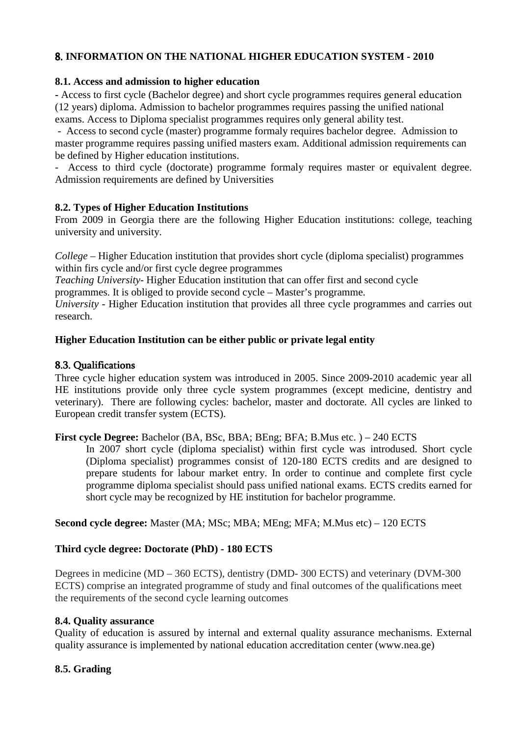# 8. **INFORMATION ON THE NATIONAL HIGHER EDUCATION SYSTEM - 2010**

## **8.1. Access and admission to higher education**

**-** Access to first cycle (Bachelor degree) and short cycle programmes requires general education (12 years) diploma. Admission to bachelor programmes requires passing the unified national exams. Access to Diploma specialist programmes requires only general ability test.

 - Access to second cycle (master) programme formaly requires bachelor degree. Admission to master programme requires passing unified masters exam. Additional admission requirements can be defined by Higher education institutions.

- Access to third cycle (doctorate) programme formaly requires master or equivalent degree. Admission requirements are defined by Universities

## **8.2. Types of Higher Education Institutions**

From 2009 in Georgia there are the following Higher Education institutions: college, teaching university and university.

*College* – Higher Education institution that provides short cycle (diploma specialist) programmes within firs cycle and/or first cycle degree programmes

*Teaching University*- Higher Education institution that can offer first and second cycle

programmes. It is obliged to provide second cycle – Master's programme.

*University* - Higher Education institution that provides all three cycle programmes and carries out research.

## **Higher Education Institution can be either public or private legal entity**

## 8.3. Qualifications

Three cycle higher education system was introduced in 2005. Since 2009-2010 academic year all HE institutions provide only three cycle system programmes (except medicine, dentistry and veterinary). There are following cycles: bachelor, master and doctorate. All cycles are linked to European credit transfer system (ECTS).

## **First cycle Degree:** Bachelor (BA, BSc, BBA; BEng; BFA; B.Mus etc. ) – 240 ECTS

In 2007 short cycle (diploma specialist) within first cycle was introdused. Short cycle (Diploma specialist) programmes consist of 120-180 ECTS credits and are designed to prepare students for labour market entry. In order to continue and complete first cycle programme diploma specialist should pass unified national exams. ECTS credits earned for short cycle may be recognized by HE institution for bachelor programme.

## **Second cycle degree:** Master (MA; MSc; MBA; MEng; MFA; M.Mus etc) – 120 ECTS

## **Third cycle degree: Doctorate (PhD) - 180 ECTS**

Degrees in medicine (MD – 360 ECTS), dentistry (DMD- 300 ECTS) and veterinary (DVM-300 ECTS) comprise an integrated programme of study and final outcomes of the qualifications meet the requirements of the second cycle learning outcomes

## **8.4. Quality assurance**

Quality of education is assured by internal and external quality assurance mechanisms. External quality assurance is implemented by national education accreditation center (www.nea.ge)

# **8.5. Grading**